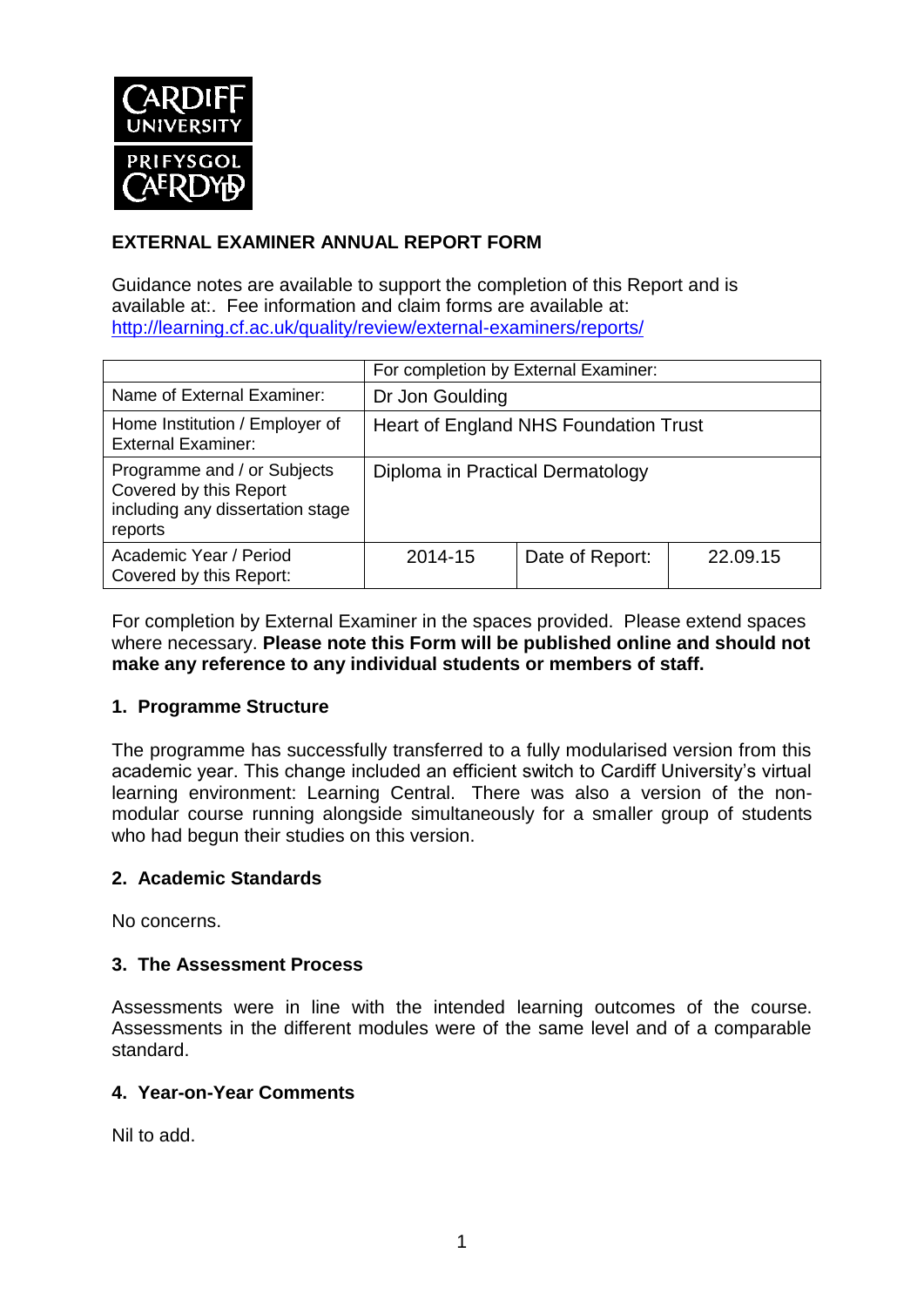

### **EXTERNAL EXAMINER ANNUAL REPORT FORM**

Guidance notes are available to support the completion of this Report and is available at:. Fee information and claim forms are available at: <http://learning.cf.ac.uk/quality/review/external-examiners/reports/>

|                                                                                                      | For completion by External Examiner:  |                 |          |  |
|------------------------------------------------------------------------------------------------------|---------------------------------------|-----------------|----------|--|
| Name of External Examiner:                                                                           | Dr Jon Goulding                       |                 |          |  |
| Home Institution / Employer of<br><b>External Examiner:</b>                                          | Heart of England NHS Foundation Trust |                 |          |  |
| Programme and / or Subjects<br>Covered by this Report<br>including any dissertation stage<br>reports | Diploma in Practical Dermatology      |                 |          |  |
| Academic Year / Period<br>Covered by this Report:                                                    | 2014-15                               | Date of Report: | 22.09.15 |  |

For completion by External Examiner in the spaces provided. Please extend spaces where necessary. **Please note this Form will be published online and should not make any reference to any individual students or members of staff.**

#### **1. Programme Structure**

The programme has successfully transferred to a fully modularised version from this academic year. This change included an efficient switch to Cardiff University's virtual learning environment: Learning Central. There was also a version of the nonmodular course running alongside simultaneously for a smaller group of students who had begun their studies on this version.

#### **2. Academic Standards**

No concerns.

#### **3. The Assessment Process**

Assessments were in line with the intended learning outcomes of the course. Assessments in the different modules were of the same level and of a comparable standard.

#### **4. Year-on-Year Comments**

Nil to add.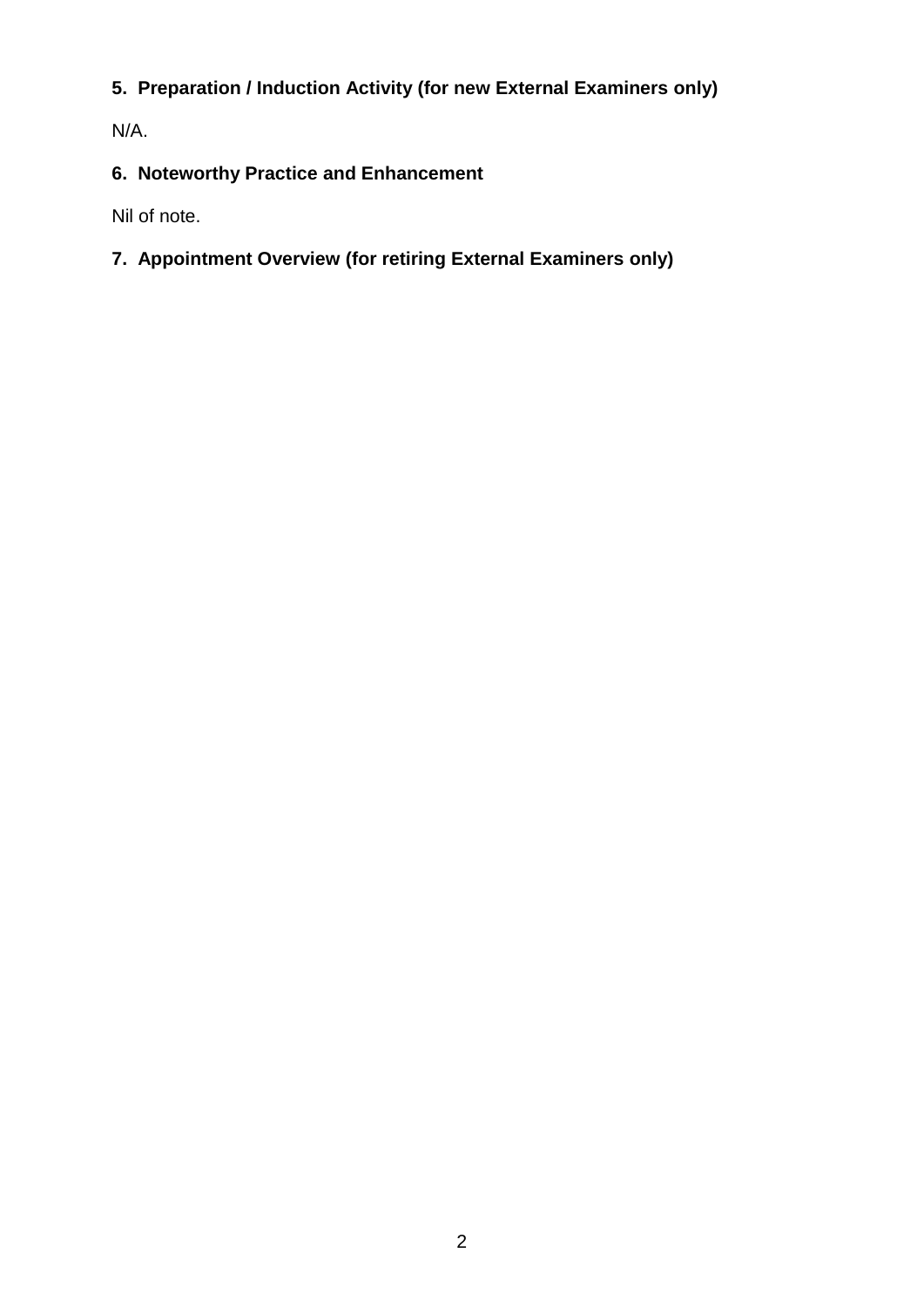# **5. Preparation / Induction Activity (for new External Examiners only)**

N/A.

# **6. Noteworthy Practice and Enhancement**

Nil of note.

# **7. Appointment Overview (for retiring External Examiners only)**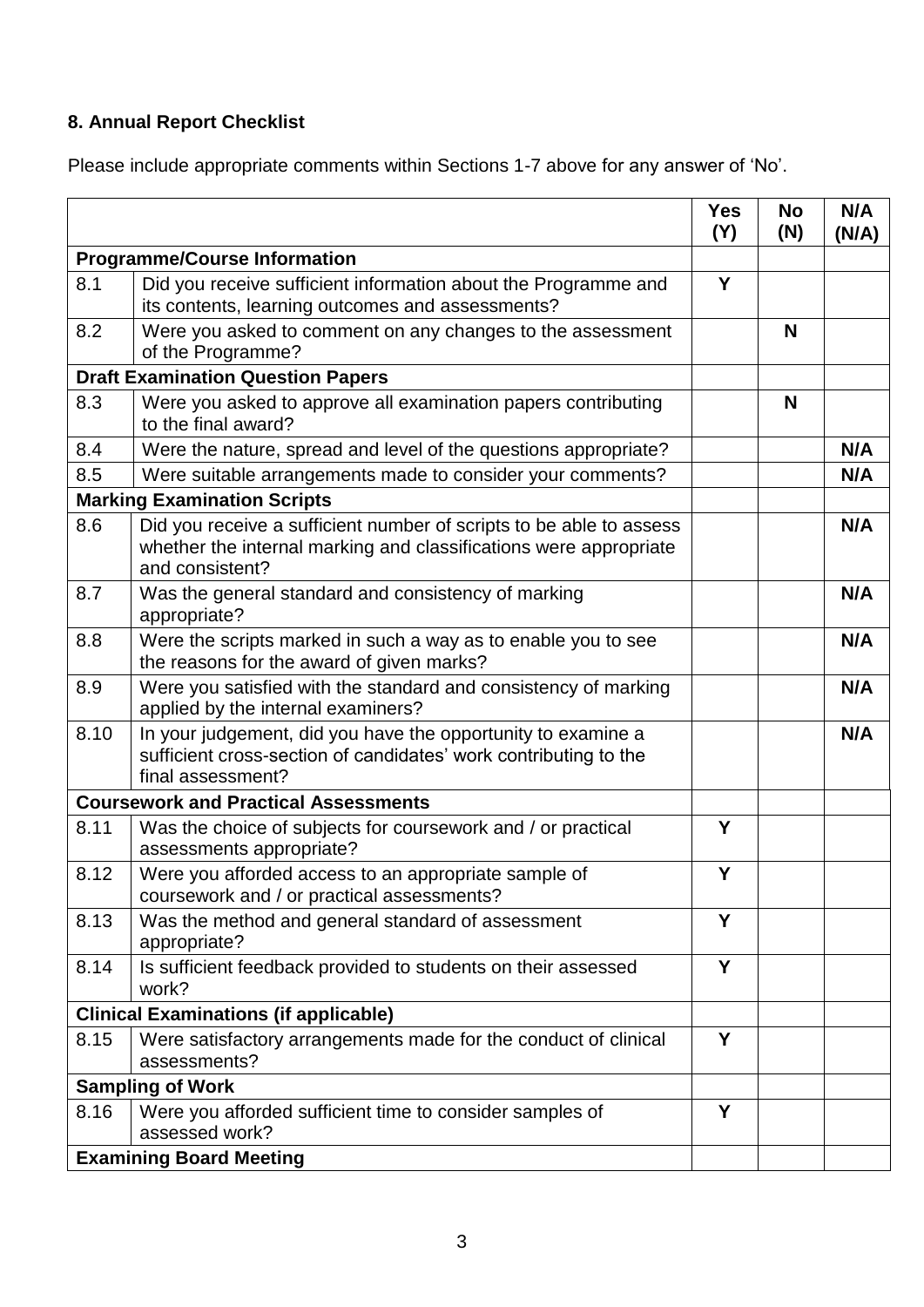# **8. Annual Report Checklist**

Please include appropriate comments within Sections 1-7 above for any answer of 'No'.

|                                              |                                                                                                                                                             | <b>Yes</b><br>(Y) | <b>No</b><br>(N) | N/A<br>(N/A) |
|----------------------------------------------|-------------------------------------------------------------------------------------------------------------------------------------------------------------|-------------------|------------------|--------------|
| <b>Programme/Course Information</b>          |                                                                                                                                                             |                   |                  |              |
| 8.1                                          | Did you receive sufficient information about the Programme and<br>its contents, learning outcomes and assessments?                                          | Y                 |                  |              |
| 8.2                                          | Were you asked to comment on any changes to the assessment<br>of the Programme?                                                                             |                   | N                |              |
| <b>Draft Examination Question Papers</b>     |                                                                                                                                                             |                   |                  |              |
| 8.3                                          | Were you asked to approve all examination papers contributing<br>to the final award?                                                                        |                   | N                |              |
| 8.4                                          | Were the nature, spread and level of the questions appropriate?                                                                                             |                   |                  | N/A          |
| 8.5                                          | Were suitable arrangements made to consider your comments?                                                                                                  |                   |                  | N/A          |
| <b>Marking Examination Scripts</b>           |                                                                                                                                                             |                   |                  |              |
| 8.6                                          | Did you receive a sufficient number of scripts to be able to assess<br>whether the internal marking and classifications were appropriate<br>and consistent? |                   |                  | N/A          |
| 8.7                                          | Was the general standard and consistency of marking<br>appropriate?                                                                                         |                   |                  | N/A          |
| 8.8                                          | Were the scripts marked in such a way as to enable you to see<br>the reasons for the award of given marks?                                                  |                   |                  | N/A          |
| 8.9                                          | Were you satisfied with the standard and consistency of marking<br>applied by the internal examiners?                                                       |                   |                  | N/A          |
| 8.10                                         | In your judgement, did you have the opportunity to examine a<br>sufficient cross-section of candidates' work contributing to the<br>final assessment?       |                   |                  | N/A          |
| <b>Coursework and Practical Assessments</b>  |                                                                                                                                                             |                   |                  |              |
| 8.11                                         | Was the choice of subjects for coursework and / or practical<br>assessments appropriate?                                                                    | Y                 |                  |              |
| 8.12                                         | Were you afforded access to an appropriate sample of<br>coursework and / or practical assessments?                                                          | Υ                 |                  |              |
| 8.13                                         | Was the method and general standard of assessment<br>appropriate?                                                                                           | Y                 |                  |              |
| 8.14                                         | Is sufficient feedback provided to students on their assessed<br>work?                                                                                      | Y                 |                  |              |
| <b>Clinical Examinations (if applicable)</b> |                                                                                                                                                             |                   |                  |              |
| 8.15                                         | Were satisfactory arrangements made for the conduct of clinical<br>assessments?                                                                             | Y                 |                  |              |
| <b>Sampling of Work</b>                      |                                                                                                                                                             |                   |                  |              |
| 8.16                                         | Were you afforded sufficient time to consider samples of<br>assessed work?                                                                                  | Y                 |                  |              |
| <b>Examining Board Meeting</b>               |                                                                                                                                                             |                   |                  |              |